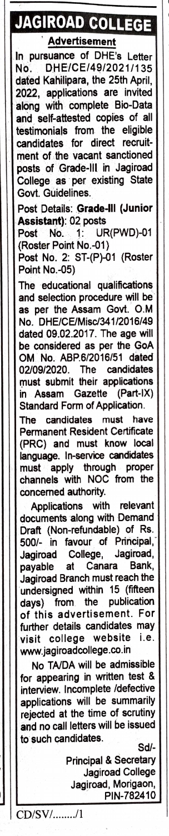## JAGIROAD COLLEGE

**Advertisement**<br>suance of DHE's Letter In pursuance of No. DHE/CE/49/2021/135 dated Kahilipara, the 25th April, 2022, applications are invited along with complete Bio-Data and self-attested copies of all testimonials from the eligible candidates for direct recruitment of the vacant sanctioned posts of Grade-ll in Jagiroad College as per existing State Govt. Guidelines.

Post Details: Grade-ll (Junior Assistant): 02 posts

Post No. 1: UR(PWD)-01 (Roster Point No.-01)

Post No. 2: ST-(P)-01 (Roster Point No.-05)

The educational qualifications and selection procedure will be as per the Assam Govt. O.M No. DHE/CE/Misc/341/2016/49 dated 09.02.2017. The age will be considered as per the GoA OM No. ABP.6/2016/51 dated 02/09/2020. The candidates must submit their applications in Assam Gazette (Part-1X) Standard Form of Application.

The candidates must have Permanent Resident Certificate (PRC) and must know local language. In-service candidates must apply through proper channels with NOC from the concemed authority. Applications with relevant

documents along with Demand Draft (Non-refundable) of Rs. 500/- in favour of Principal, Jagiroad College, Jagiroad, payable at Canara Bank, payable at Canara Bank,<br>Jagiroad Branch must reach the undersigned within 15 (fifteen days) from the publication of this advertisement. For| further details candidates may visit college website i.e. www.jagiroadcollege.co.in

No TA/DA will be admissible for appearing in written test & interview. Incomplete /defective applications will be summarily rejected at the time of scrutiny and no call letters will be issued to such candidates. Sd/-

CD/SV/......../1

Principal& Secretary Jagiroad College Jagiroad, Morigaon, PIN-782410